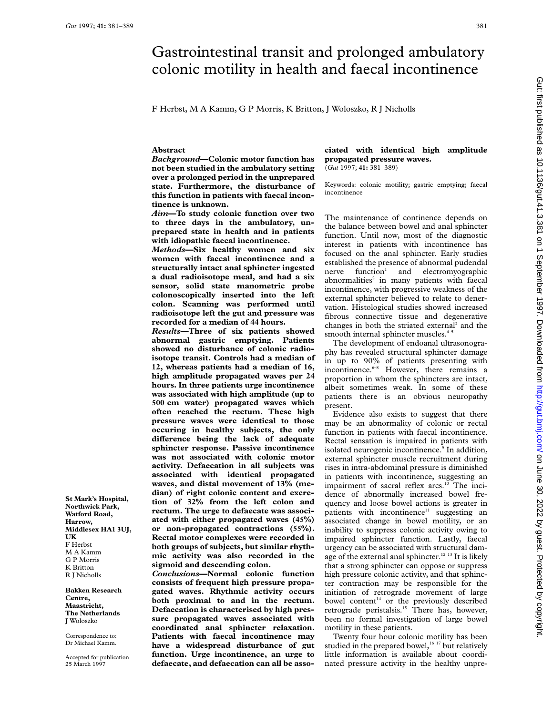# Gastrointestinal transit and prolonged ambulatory colonic motility in health and faecal incontinence

F Herbst, M A Kamm, G P Morris, K Britton, J Woloszko, R J Nicholls

# **Abstract**

*Background***—Colonic motor function has not been studied in the ambulatory setting over a prolonged period in the unprepared state. Furthermore, the disturbance of this function in patients with faecal incontinence is unknown.**

*Aim***—To study colonic function over two to three days in the ambulatory, unprepared state in health and in patients with idiopathic faecal incontinence.**

*Methods***—Six healthy women and six women with faecal incontinence and a structurally intact anal sphincter ingested a dual radioisotope meal, and had a six sensor, solid state manometric probe colonoscopically inserted into the left colon. Scanning was performed until radioisotope left the gut and pressure was recorded for a median of 44 hours.**

*Results***—Three of six patients showed abnormal gastric emptying. Patients showed no disturbance of colonic radioisotope transit. Controls had a median of 12, whereas patients had a median of 16, high amplitude propagated waves per 24 hours. In three patients urge incontinence was associated with high amplitude (up to 500 cm water) propagated waves which often reached the rectum. These high pressure waves were identical to those occuring in healthy subjects, the only diVerence being the lack of adequate sphincter response. Passive incontinence was not associated with colonic motor activity. Defaecation in all subjects was associated with identical propagated waves, and distal movement of 13% (median) of right colonic content and excretion of 32% from the left colon and rectum. The urge to defaecate was associated with either propagated waves (45%) or non-propagated contractions (55%). Rectal motor complexes were recorded in both groups of subjects, but similar rhythmic activity was also recorded in the sigmoid and descending colon.**

*Conclusions***—Normal colonic function consists of frequent high pressure propagated waves. Rhythmic activity occurs both proximal to and in the rectum. Defaecation is characterised by high pressure propagated waves associated with coordinated anal sphincter relaxation. Patients with faecal incontinence may have a widespread disturbance of gut function. Urge incontinence, an urge to defaecate, and defaecation can all be asso-**

#### **ciated with identical high amplitude propagated pressure waves.** (*Gut* 1997; **41:** 381–389)

Keywords: colonic motility; gastric emptying; faecal incontinence

The maintenance of continence depends on the balance between bowel and anal sphincter function. Until now, most of the diagnostic interest in patients with incontinence has focused on the anal sphincter. Early studies established the presence of abnormal pudendal  $n =$  function<sup>1</sup> and electromyographic abnormalities $2$  in many patients with faecal incontinence, with progressive weakness of the external sphincter believed to relate to denervation. Histological studies showed increased fibrous connective tissue and degenerative changes in both the striated external<sup>3</sup> and the smooth internal sphincter muscles.<sup>4</sup>

The development of endoanal ultrasonography has revealed structural sphincter damage in up to 90% of patients presenting with incontinence.<sup>6-8</sup> However, there remains a proportion in whom the sphincters are intact, albeit sometimes weak. In some of these patients there is an obvious neuropathy present.

Evidence also exists to suggest that there may be an abnormality of colonic or rectal function in patients with faecal incontinence. Rectal sensation is impaired in patients with isolated neurogenic incontinence.<sup>9</sup> In addition, external sphincter muscle recruitment during rises in intra-abdominal pressure is diminished in patients with incontinence, suggesting an impairment of sacral reflex arcs.<sup>10</sup> The incidence of abnormally increased bowel frequency and loose bowel actions is greater in patients with incontinence<sup>11</sup> suggesting an associated change in bowel motility, or an inability to suppress colonic activity owing to impaired sphincter function. Lastly, faecal urgency can be associated with structural damage of the external anal sphincter.<sup>12 13</sup> It is likely that a strong sphincter can oppose or suppress high pressure colonic activity, and that sphincter contraction may be responsible for the initiation of retrograde movement of large bowel content<sup>14</sup> or the previously described retrograde peristalsis.<sup>15</sup> There has, however, been no formal investigation of large bowel motility in these patients.

Twenty four hour colonic motility has been studied in the prepared bowel,<sup>16 17</sup> but relatively little information is available about coordinated pressure activity in the healthy unpre-

**St Mark's Hospital, Northwick Park, Watford Road, Harrow, Middlesex HA1 3UJ, UK** F Herbst M A Kamm G P Morris K Britton R J Nicholls

**Bakken Research Centre, Maastricht, The Netherlands** J Woloszko

Correspondence to: Dr Michael Kamm.

Accepted for publication 25 March 1997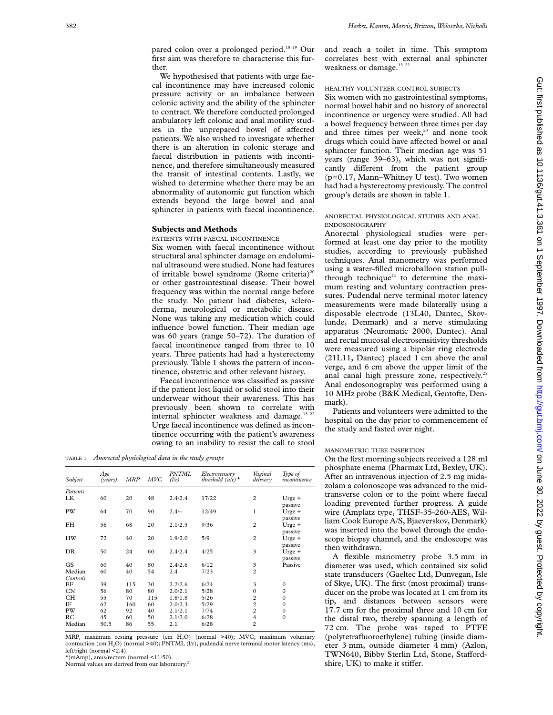pared colon over a prolonged period.18 19 Our first aim was therefore to characterise this further.

We hypothesised that patients with urge faecal incontinence may have increased colonic pressure activity or an imbalance between colonic activity and the ability of the sphincter to contract. We therefore conducted prolonged ambulatory left colonic and anal motility studies in the unprepared bowel of affected patients. We also wished to investigate whether there is an alteration in colonic storage and faecal distribution in patients with incontinence, and therefore simultaneously measured the transit of intestinal contents. Lastly, we wished to determine whether there may be an abnormality of autonomic gut function which extends beyond the large bowel and anal sphincter in patients with faecal incontinence.

# **Subjects and Methods**

PATIENTS WITH FAECAL INCONTINENCE

Six women with faecal incontinence without structural anal sphincter damage on endoluminal ultrasound were studied. None had features of irritable bowel syndrome (Rome criteria)<sup>20</sup> or other gastrointestinal disease. Their bowel frequency was within the normal range before the study. No patient had diabetes, scleroderma, neurological or metabolic disease. None was taking any medication which could influence bowel function. Their median age was 60 years (range 50–72). The duration of faecal incontinence ranged from three to 10 years. Three patients had had a hysterectomy previously. Table 1 shows the pattern of incontinence, obstetric and other relevant history.

Faecal incontinence was classified as passive if the patient lost liquid or solid stool into their underwear without their awareness. This has previously been shown to correlate with internal sphincter weakness and damage.<sup>13 22</sup> Urge faecal incontinence was defined as incontinence occurring with the patient's awareness owing to an inability to resist the call to stool

TABLE 1 *Anorectal physiological data in the study groups*

| Subject            | Age<br>(years) | <b>MRP</b> | MVC | <b>PNTML</b><br>(l/r) | Electrosensory<br>threshold $(a/r)^*$ | Vaginal<br>delivery | Type of<br>incontinence         |
|--------------------|----------------|------------|-----|-----------------------|---------------------------------------|---------------------|---------------------------------|
| Patients           |                |            |     |                       |                                       |                     |                                 |
| LK                 | 60             | 20         | 48  | 2.4/2.4               | 17/22                                 | $\overline{c}$      | $U$ rge +                       |
| PW                 | 64             | 70         | 90  | $2.4/-$               | 12/49                                 | $\mathbf{1}$        | passive<br>$U$ rge +<br>passive |
| FH                 | 56             | 68         | 20  | 2.1/2.5               | 9/36                                  | $\overline{c}$      | $U$ rge +<br>passive            |
| HW                 | 72             | 40         | 20  | 1.9/2.0               | 5/9                                   | $\overline{c}$      | Urge +<br>passive               |
| DR                 | 50             | 24         | 60  | 2.4/2.4               | 4/25                                  | 3                   | Urge +<br>passive               |
| GS                 | 60             | 40         | 80  | 2.4/2.6               | 6/12                                  | 3                   | Passive                         |
| Median<br>Controls | 60             | 40         | 54  | 2.4                   | 7/23                                  | $\overline{c}$      |                                 |
| ΕF                 | 39             | 115        | 30  | 2.2/2.6               | 6/24                                  | 3                   | $\boldsymbol{0}$                |
| <b>CN</b>          | 56             | 80         | 80  | 2.0/2.1               | 5/28                                  | $\mathbf{0}$        | $\mathbf{0}$                    |
| СH                 | 55             | 70         | 115 | 1.8/1.8               | 5/26                                  | $\overline{c}$      | $\boldsymbol{0}$                |
| IF                 | 62             | 160        | 60  | 2.0/2.3               | 5/29                                  | $\overline{c}$      | $\mathbf{0}$                    |
| PW                 | 62             | 92         | 40  | 2.1/2.1               | 7/74                                  | $\overline{c}$      | $\boldsymbol{0}$                |
| RC                 | 45             | 60         | 50  | 2.1/2.0               | 6/28                                  | $\overline{4}$      | $\mathbf{0}$                    |
| Median             | 50.5           | 86         | 55  | 2.1                   | 6/28                                  | $\overline{2}$      |                                 |
|                    |                |            |     |                       |                                       |                     |                                 |

MRP, maximum resting pressure (cm H<sub>2</sub>O) (normal >40); MVC, maximum voluntary contraction (cm H<sub>2</sub>O) (normal >40); PNTML (l/r), pudendal nerve terminal motor latency (ms), left/right (normal <2.4).

\*(mAmp), anus/rectum (normal <11/50).

Normal values are derived from our laboratory.<sup>21</sup>

and reach a toilet in time. This symptom correlates best with external anal sphincter weakness or damage. $^{13,22}$ 

# HEALTHY VOLUNTEER CONTROL SUBJECTS

Six women with no gastrointestinal symptoms, normal bowel habit and no history of anorectal incontinence or urgency were studied. All had a bowel frequency between three times per day and three times per week,<sup>23</sup> and none took drugs which could have affected bowel or anal sphincter function. Their median age was 51 years (range 39–63), which was not significantly different from the patient group (p=0.17, Mann–Whitney U test). Two women had had a hysterectomy previously. The control group's details are shown in table 1.

# ANORECTAL PHYSIOLOGICAL STUDIES AND ANAL ENDOSONOGRAPHY

Anorectal physiological studies were performed at least one day prior to the motility studies, according to previously published techniques. Anal manometry was performed using a water-filled microballoon station pullthrough technique<sup>24</sup> to determine the maximum resting and voluntary contraction pressures. Pudendal nerve terminal motor latency measurements were made bilaterally using a disposable electrode (13L40, Dantec, Skovlunde, Denmark) and a nerve stimulating apparatus (Neuromatic 2000, Dantec). Anal and rectal mucosal electrosensitivity thresholds were measured using a bipolar ring electrode (21L11, Dantec) placed 1 cm above the anal verge, and 6 cm above the upper limit of the anal canal high pressure zone, respectively.<sup>25</sup> Anal endosonography was performed using a 10 MHz probe (B&K Medical, Gentofte, Denmark).

Patients and volunteers were admitted to the hospital on the day prior to commencement of the study and fasted over night.

# MANOMETRIC TUBE INSERTION

On the first morning subjects received a 128 ml phosphate enema (Pharmax Ltd, Bexley, UK). After an intravenous injection of 2.5 mg midazolam a colonoscope was advanced to the midtransverse colon or to the point where faecal loading prevented further progress. A guide wire (Amplatz type, THSF-35-260-AES, William Cook Europe A/S, Bjaeverskov, Denmark) was inserted into the bowel through the endoscope biopsy channel, and the endoscope was then withdrawn.

A flexible manometry probe 3.5 mm in diameter was used, which contained six solid state transducers (Gaeltec Ltd, Dunvegan, Isle of Skye, UK). The first (most proximal) transducer on the probe was located at 1 cm from its tip, and distances between sensors were 17.7 cm for the proximal three and 10 cm for the distal two, thereby spanning a length of 72 cm. The probe was taped to PTFE (polytetrafluoroethylene) tubing (inside diameter 3 mm, outside diameter 4 mm) (Azlon, TWN640, Bibby Sterlin Ltd, Stone, Staffordshire, UK) to make it stiffer.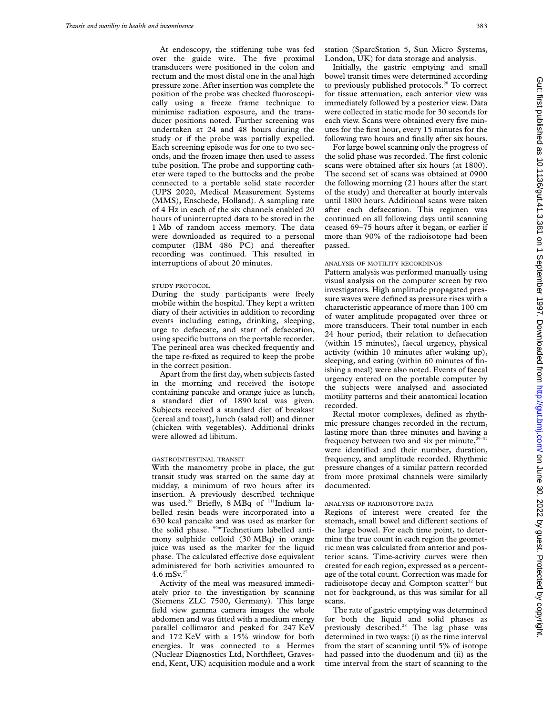At endoscopy, the stiffening tube was fed over the guide wire. The five proximal transducers were positioned in the colon and rectum and the most distal one in the anal high pressure zone. After insertion was complete the position of the probe was checked fluoroscopically using a freeze frame technique to minimise radiation exposure, and the transducer positions noted. Further screening was undertaken at 24 and 48 hours during the study or if the probe was partially expelled. Each screening episode was for one to two seconds, and the frozen image then used to assess tube position. The probe and supporting catheter were taped to the buttocks and the probe connected to a portable solid state recorder (UPS 2020, Medical Measurement Systems (MMS), Enschede, Holland). A sampling rate of 4 Hz in each of the six channels enabled 20 hours of uninterrupted data to be stored in the 1 Mb of random access memory. The data were downloaded as required to a personal computer (IBM 486 PC) and thereafter recording was continued. This resulted in interruptions of about 20 minutes.

#### STUDY PROTOCOL

During the study participants were freely mobile within the hospital. They kept a written diary of their activities in addition to recording events including eating, drinking, sleeping, urge to defaecate, and start of defaecation, using specific buttons on the portable recorder. The perineal area was checked frequently and the tape re-fixed as required to keep the probe in the correct position.

Apart from the first day, when subjects fasted in the morning and received the isotope containing pancake and orange juice as lunch, a standard diet of 1890 kcal was given. Subjects received a standard diet of breakast (cereal and toast), lunch (salad roll) and dinner (chicken with vegetables). Additional drinks were allowed ad libitum.

#### GASTROINTESTINAL TRANSIT

With the manometry probe in place, the gut transit study was started on the same day at midday, a minimum of two hours after its insertion. A previously described technique was used.<sup>26</sup> Briefly, 8 MBq of <sup>111</sup>Indium labelled resin beads were incorporated into a 630 kcal pancake and was used as marker for the solid phase. <sup>99m</sup>Technetium labelled antimony sulphide colloid (30 MBq) in orange juice was used as the marker for the liquid phase. The calculated effective dose equivalent administered for both activities amounted to 4.6 mSv. $27$ 

Activity of the meal was measured immediately prior to the investigation by scanning (Siemens ZLC 7500, Germany). This large field view gamma camera images the whole abdomen and was fitted with a medium energy parallel collimator and peaked for 247 KeV and 172 KeV with a 15% window for both energies. It was connected to a Hermes (Nuclear Diagnostics Ltd, Northfleet, Gravesend, Kent, UK) acquisition module and a work station (SparcStation 5, Sun Micro Systems, London, UK) for data storage and analysis.

Initially, the gastric emptying and small bowel transit times were determined according to previously published protocols.<sup>28</sup> To correct for tissue attenuation, each anterior view was immediately followed by a posterior view. Data were collected in static mode for 30 seconds for each view. Scans were obtained every five minutes for the first hour, every 15 minutes for the following two hours and finally after six hours.

For large bowel scanning only the progress of the solid phase was recorded. The first colonic scans were obtained after six hours (at 1800). The second set of scans was obtained at 0900 the following morning (21 hours after the start of the study) and thereafter at hourly intervals until 1800 hours. Additional scans were taken after each defaecation. This regimen was continued on all following days until scanning ceased 69–75 hours after it began, or earlier if more than 90% of the radioisotope had been passed.

#### ANALYSIS OF MOTILITY RECORDINGS

Pattern analysis was performed manually using visual analysis on the computer screen by two investigators. High amplitude propagated pressure waves were defined as pressure rises with a characteristic appearance of more than 100 cm of water amplitude propagated over three or more transducers. Their total number in each 24 hour period, their relation to defaecation (within 15 minutes), faecal urgency, physical activity (within 10 minutes after waking up), sleeping, and eating (within 60 minutes of finishing a meal) were also noted. Events of faecal urgency entered on the portable computer by the subjects were analysed and associated motility patterns and their anatomical location recorded.

Rectal motor complexes, defined as rhythmic pressure changes recorded in the rectum, lasting more than three minutes and having a frequency between two and six per minute, $29-31$ were identified and their number, duration, frequency, and amplitude recorded. Rhythmic pressure changes of a similar pattern recorded from more proximal channels were similarly documented.

### ANALYSIS OF RADIOISOTOPE DATA

Regions of interest were created for the stomach, small bowel and different sections of the large bowel. For each time point, to determine the true count in each region the geometric mean was calculated from anterior and posterior scans. Time-activity curves were then created for each region, expressed as a percentage of the total count. Correction was made for radioisotope decay and Compton scatter $32$  but not for background, as this was similar for all scans.

The rate of gastric emptying was determined for both the liquid and solid phases as previously described.28 The lag phase was determined in two ways: (i) as the time interval from the start of scanning until 5% of isotope had passed into the duodenum and (ii) as the time interval from the start of scanning to the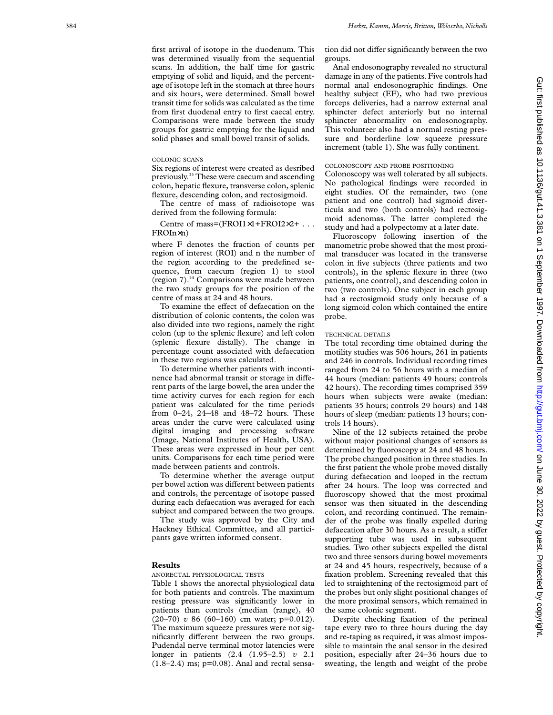first arrival of isotope in the duodenum. This was determined visually from the sequential scans. In addition, the half time for gastric emptying of solid and liquid, and the percentage of isotope left in the stomach at three hours and six hours, were determined. Small bowel transit time for solids was calculated as the time from first duodenal entry to first caecal entry. Comparisons were made between the study groups for gastric emptying for the liquid and solid phases and small bowel transit of solids.

# COLONIC SCANS

Six regions of interest were created as desribed previously.33 These were caecum and ascending colon, hepatic flexure, transverse colon, splenic flexure, descending colon, and rectosigmoid.

The centre of mass of radioisotope was derived from the following formula:

Centre of mass=(FROI1×1+FROI2×2+ . . . FROIn ×n)

where F denotes the fraction of counts per region of interest (ROI) and n the number of the region according to the predefined sequence, from caecum (region 1) to stool (region 7).34 Comparisons were made between the two study groups for the position of the centre of mass at 24 and 48 hours.

To examine the effect of defaecation on the distribution of colonic contents, the colon was also divided into two regions, namely the right colon (up to the splenic flexure) and left colon (splenic flexure distally). The change in percentage count associated with defaecation in these two regions was calculated.

To determine whether patients with incontinence had abnormal transit or storage in different parts of the large bowel, the area under the time activity curves for each region for each patient was calculated for the time periods from 0–24, 24–48 and 48–72 hours. These areas under the curve were calculated using digital imaging and processing software (Image, National Institutes of Health, USA). These areas were expressed in hour per cent units. Comparisons for each time period were made between patients and controls.

To determine whether the average output per bowel action was different between patients and controls, the percentage of isotope passed during each defaecation was averaged for each subject and compared between the two groups.

The study was approved by the City and Hackney Ethical Committee, and all participants gave written informed consent.

#### **Results**

# ANORECTAL PHYSIOLOGICAL TESTS

Table 1 shows the anorectal physiological data for both patients and controls. The maximum resting pressure was significantly lower in patients than controls (median (range), 40 (20–70) *v* 86 (60–160) cm water; p=0.012). The maximum squeeze pressures were not significantly different between the two groups. Pudendal nerve terminal motor latencies were longer in patients (2.4 (1.95–2.5) *v* 2.1  $(1.8-2.4)$  ms;  $p=0.08$ ). Anal and rectal sensa-

tion did not differ significantly between the two groups.

Anal endosonography revealed no structural damage in any of the patients. Five controls had normal anal endosonographic findings. One healthy subject (EF), who had two previous forceps deliveries, had a narrow external anal sphincter defect anteriorly but no internal sphincter abnormality on endosonography. This volunteer also had a normal resting pressure and borderline low squeeze pressure increment (table 1). She was fully continent.

#### COLONOSCOPY AND PROBE POSITIONING

Colonoscopy was well tolerated by all subjects. No pathological findings were recorded in eight studies. Of the remainder, two (one patient and one control) had sigmoid diverticula and two (both controls) had rectosigmoid adenomas. The latter completed the study and had a polypectomy at a later date.

Fluoroscopy following insertion of the manometric probe showed that the most proximal transducer was located in the transverse colon in five subjects (three patients and two controls), in the splenic flexure in three (two patients, one control), and descending colon in two (two controls). One subject in each group had a rectosigmoid study only because of a long sigmoid colon which contained the entire probe.

#### TECHNICAL DETAILS

The total recording time obtained during the motility studies was 506 hours, 261 in patients and 246 in controls. Individual recording times ranged from 24 to 56 hours with a median of 44 hours (median: patients 49 hours; controls 42 hours). The recording times comprised 359 hours when subjects were awake (median: patients 35 hours; controls 29 hours) and 148 hours of sleep (median: patients 13 hours; controls 14 hours).

Nine of the 12 subjects retained the probe without major positional changes of sensors as determined by fluoroscopy at 24 and 48 hours. The probe changed position in three studies. In the first patient the whole probe moved distally during defaecation and looped in the rectum after 24 hours. The loop was corrected and fluoroscopy showed that the most proximal sensor was then situated in the descending colon, and recording continued. The remainder of the probe was finally expelled during defaecation after 30 hours. As a result, a stiffer supporting tube was used in subsequent studies. Two other subjects expelled the distal two and three sensors during bowel movements at 24 and 45 hours, respectively, because of a fixation problem. Screening revealed that this led to straightening of the rectosigmoid part of the probes but only slight positional changes of the more proximal sensors, which remained in the same colonic segment.

Despite checking fixation of the perineal tape every two to three hours during the day and re-taping as required, it was almost impossible to maintain the anal sensor in the desired position, especially after 24–36 hours due to sweating, the length and weight of the probe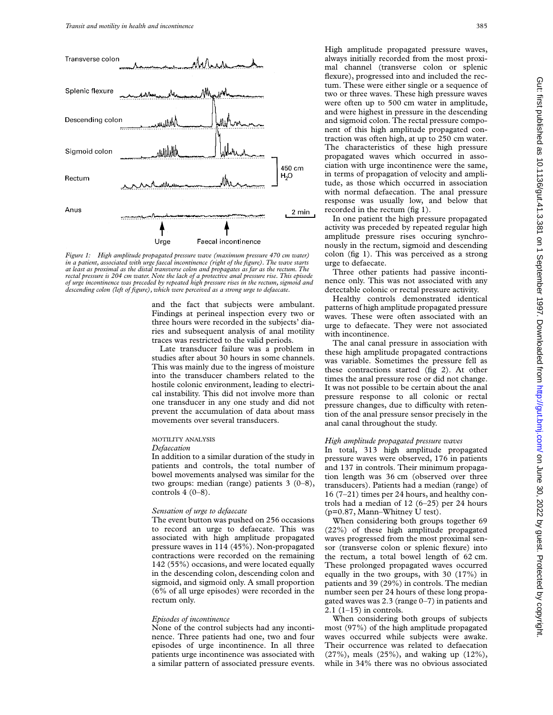

*Figure 1: High amplitude propagated pressure wave (maximum pressure 470 cm water) in a patient, associated with urge faecal incontinence (right of the figure). The wave starts at least as proximal as the distal transverse colon and propagates as far as the rectum. The rectal pressure is 204 cm water. Note the lack of a protective anal pressure rise. This episode of urge incontinence was preceded by repeated high pressure rises in the rectum, sigmoid and descending colon (left of figure), which were perceived as a strong urge to defaecate.*

and the fact that subjects were ambulant. Findings at perineal inspection every two or three hours were recorded in the subjects' diaries and subsequent analysis of anal motility traces was restricted to the valid periods.

Late transducer failure was a problem in studies after about 30 hours in some channels. This was mainly due to the ingress of moisture into the transducer chambers related to the hostile colonic environment, leading to electrical instability. This did not involve more than one transducer in any one study and did not prevent the accumulation of data about mass movements over several transducers.

## MOTILITY ANALYSIS

#### *Defaecation*

In addition to a similar duration of the study in patients and controls, the total number of bowel movements analysed was similar for the two groups: median (range) patients 3 (0–8), controls  $4(0-8)$ .

#### *Sensation of urge to defaecate*

The event button was pushed on 256 occasions to record an urge to defaecate. This was associated with high amplitude propagated pressure waves in 114 (45%). Non-propagated contractions were recorded on the remaining 142 (55%) occasions, and were located equally in the descending colon, descending colon and sigmoid, and sigmoid only. A small proportion (6% of all urge episodes) were recorded in the rectum only.

#### *Episodes of incontinence*

None of the control subjects had any incontinence. Three patients had one, two and four episodes of urge incontinence. In all three patients urge incontinence was associated with a similar pattern of associated pressure events.

High amplitude propagated pressure waves, always initially recorded from the most proximal channel (transverse colon or splenic flexure), progressed into and included the rectum. These were either single or a sequence of two or three waves. These high pressure waves were often up to 500 cm water in amplitude, and were highest in pressure in the descending and sigmoid colon. The rectal pressure component of this high amplitude propagated contraction was often high, at up to 250 cm water. The characteristics of these high pressure propagated waves which occurred in association with urge incontinence were the same, in terms of propagation of velocity and amplitude, as those which occurred in association with normal defaecation. The anal pressure response was usually low, and below that recorded in the rectum (fig 1).

In one patient the high pressure propagated activity was preceded by repeated regular high amplitude pressure rises occuring synchronously in the rectum, sigmoid and descending colon (fig 1). This was perceived as a strong urge to defaecate.

Three other patients had passive incontinence only. This was not associated with any detectable colonic or rectal pressure activity.

Healthy controls demonstrated identical patterns of high amplitude propagated pressure waves. These were often associated with an urge to defaecate. They were not associated with incontinence.

The anal canal pressure in association with these high amplitude propagated contractions was variable. Sometimes the pressure fell as these contractions started (fig 2). At other times the anal pressure rose or did not change. It was not possible to be certain about the anal pressure response to all colonic or rectal pressure changes, due to difficulty with retention of the anal pressure sensor precisely in the anal canal throughout the study.

# *High amplitude propagated pressure waves*

In total, 313 high amplitude propagated pressure waves were observed, 176 in patients and 137 in controls. Their minimum propagation length was 36 cm (observed over three transducers). Patients had a median (range) of 16 (7–21) times per 24 hours, and healthy controls had a median of 12 (6–25) per 24 hours (p=0.87, Mann–Whitney U test).

When considering both groups together 69 (22%) of these high amplitude propagated waves progressed from the most proximal sensor (transverse colon or splenic flexure) into the rectum, a total bowel length of 62 cm. These prolonged propagated waves occurred equally in the two groups, with 30 (17%) in patients and 39 (29%) in controls. The median number seen per 24 hours of these long propagated waves was 2.3 (range 0–7) in patients and  $2.1$  (1–15) in controls.

When considering both groups of subjects most (97%) of the high amplitude propagated waves occurred while subjects were awake. Their occurrence was related to defaecation (27%), meals (25%), and waking up (12%), while in 34% there was no obvious associated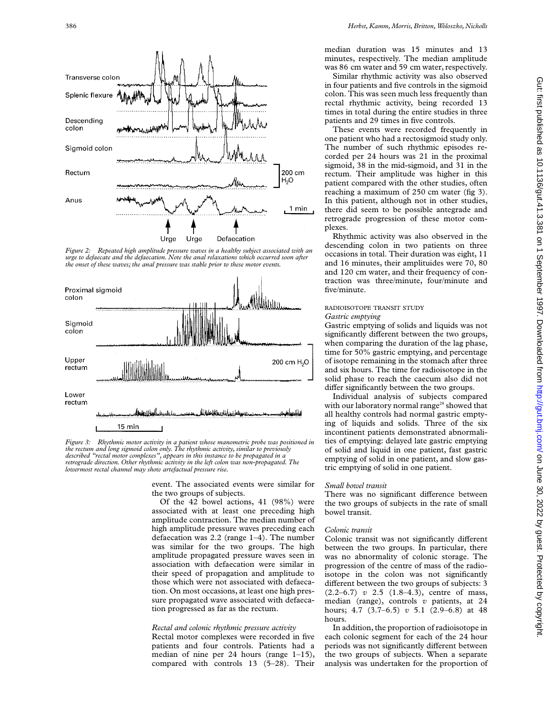

*Figure 2: Repeated high amplitude pressure waves in a healthy subject associated with an urge to defaecate and the defaecation. Note the anal relaxations which occurred soon after the onset of these waves; the anal pressure was stable prior to these motor events.*



*Figure 3: Rhythmic motor activity in a patient whose manometric probe was positioned in the rectum and long sigmoid colon only. The rhythmic activity, similar to previously described "rectal motor complexes", appears in this instance to be propagated in a retrograde direction. Other rhythmic activity in the left colon was non-propagated. The lowermost rectal channel may show artefactual pressure rise.*

event. The associated events were similar for the two groups of subjects.

Of the 42 bowel actions, 41 (98%) were associated with at least one preceding high amplitude contraction. The median number of high amplitude pressure waves preceding each defaecation was 2.2 (range 1–4). The number was similar for the two groups. The high amplitude propagated pressure waves seen in association with defaecation were similar in their speed of propagation and amplitude to those which were not associated with defaecation. On most occasions, at least one high pressure propagated wave associated with defaecation progressed as far as the rectum.

#### *Rectal and colonic rhythmic pressure activity*

Rectal motor complexes were recorded in five patients and four controls. Patients had a median of nine per 24 hours (range 1–15), compared with controls 13 (5–28). Their median duration was 15 minutes and 13 minutes, respectively. The median amplitude was 86 cm water and 59 cm water, respectively.

Similar rhythmic activity was also observed in four patients and five controls in the sigmoid colon. This was seen much less frequently than rectal rhythmic activity, being recorded 13 times in total during the entire studies in three patients and 29 times in five controls.

These events were recorded frequently in one patient who had a rectosigmoid study only. The number of such rhythmic episodes recorded per 24 hours was 21 in the proximal sigmoid, 38 in the mid-sigmoid, and 31 in the rectum. Their amplitude was higher in this patient compared with the other studies, often reaching a maximum of 250 cm water (fig 3). In this patient, although not in other studies, there did seem to be possible antegrade and retrograde progression of these motor complexes.

Rhythmic activity was also observed in the descending colon in two patients on three occasions in total. Their duration was eight, 11 and 16 minutes, their amplituides were 70, 80 and 120 cm water, and their frequency of contraction was three/minute, four/minute and five/minute.

# RADIOISOTOPE TRANSIT STUDY *Gastric emptying*

Gastric emptying of solids and liquids was not significantly different between the two groups, when comparing the duration of the lag phase, time for 50% gastric emptying, and percentage of isotope remaining in the stomach after three and six hours. The time for radioisotope in the solid phase to reach the caecum also did not differ significantly between the two groups.

Individual analysis of subjects compared with our laboratory normal range<sup>28</sup> showed that all healthy controls had normal gastric emptying of liquids and solids. Three of the six incontinent patients demonstrated abnormalities of emptying: delayed late gastric emptying of solid and liquid in one patient, fast gastric emptying of solid in one patient, and slow gastric emptying of solid in one patient.

#### *Small bowel transit*

There was no significant difference between the two groups of subjects in the rate of small bowel transit.

#### *Colonic transit*

Colonic transit was not significantly different between the two groups. In particular, there was no abnormality of colonic storage. The progression of the centre of mass of the radioisotope in the colon was not significantly different between the two groups of subjects: 3 (2.2–6.7) *v* 2.5 (1.8–4.3), centre of mass, median (range), controls *v* patients, at 24 hours; 4.7 (3.7–6.5) *v* 5.1 (2.9–6.8) at 48 hours.

In addition, the proportion of radioisotope in each colonic segment for each of the 24 hour periods was not significantly different between the two groups of subjects. When a separate analysis was undertaken for the proportion of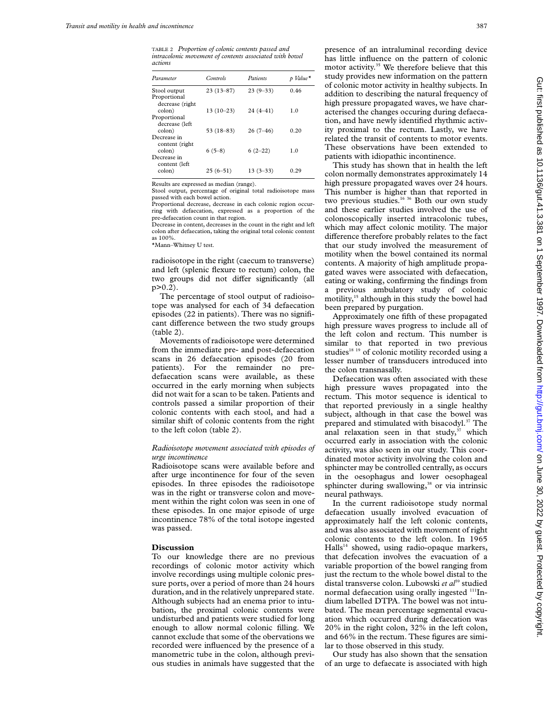TABLE 2 *Proportion of colonic contents passed and intracolonic movement of contents associated with bowel actions*

| Parameter       | Controls    | Patients     | p Value <sup>*</sup> |
|-----------------|-------------|--------------|----------------------|
| Stool output    | $23(13-87)$ | $23(9-33)$   | 0.46                 |
| Proportional    |             |              |                      |
| decrease (right |             |              |                      |
| colon)          | $13(10-23)$ | $24(4 - 41)$ | 1.0                  |
| Proportional    |             |              |                      |
| decrease (left  |             |              |                      |
| colon)          | $53(18-83)$ | $26(7-46)$   | 0.20                 |
| Decrease in     |             |              |                      |
| content (right) |             |              |                      |
| colon)          | $6(5-8)$    | $6(2-22)$    | 1.0                  |
| Decrease in     |             |              |                      |
| content (left   |             |              |                      |
| colon)          | $25(6-51)$  | $13(3-33)$   | 0.29                 |

Results are expressed as median (range).

Stool output, percentage of original total radioisotope mass passed with each bowel action.

Proportional decrease, decrease in each colonic region occurring with defaecation, expressed as a proportion of the pre-defaecation count in that region.

Decrease in content, decreases in the count in the right and left colon after defaecation, taking the original total colonic content as 100%.

\*Mann–Whitney U test.

radioisotope in the right (caecum to transverse) and left (splenic flexure to rectum) colon, the two groups did not differ significantly (all p>0.2).

The percentage of stool output of radioisotope was analysed for each of 34 defaecation episodes (22 in patients). There was no significant difference between the two study groups (table 2).

Movements of radioisotope were determined from the immediate pre- and post-defaecation scans in 26 defaecation episodes (20 from patients). For the remainder no predefaecation scans were available, as these occurred in the early morning when subjects did not wait for a scan to be taken. Patients and controls passed a similar proportion of their colonic contents with each stool, and had a similar shift of colonic contents from the right to the left colon (table 2).

# *Radioisotope movement associated with episodes of urge incontinence*

Radioisotope scans were available before and after urge incontinence for four of the seven episodes. In three episodes the radioisotope was in the right or transverse colon and movement within the right colon was seen in one of these episodes. In one major episode of urge incontinence 78% of the total isotope ingested was passed.

#### **Discussion**

To our knowledge there are no previous recordings of colonic motor activity which involve recordings using multiple colonic pressure ports, over a period of more than 24 hours duration, and in the relatively unprepared state. Although subjects had an enema prior to intubation, the proximal colonic contents were undisturbed and patients were studied for long enough to allow normal colonic filling. We cannot exclude that some of the obervations we recorded were influenced by the presence of a manometric tube in the colon, although previous studies in animals have suggested that the presence of an intraluminal recording device has little influence on the pattern of colonic motor activity.<sup>35</sup> We therefore believe that this study provides new information on the pattern of colonic motor activity in healthy subjects. In addition to describing the natural frequency of high pressure propagated waves, we have characterised the changes occuring during defaecation, and have newly identified rhythmic activity proximal to the rectum. Lastly, we have related the transit of contents to motor events. These observations have been extended to patients with idiopathic incontinence.

This study has shown that in health the left colon normally demonstrates approximately 14 high pressure propagated waves over 24 hours. This number is higher than that reported in two previous studies.<sup>16 36</sup> Both our own study and these earlier studies involved the use of colonoscopically inserted intracolonic tubes, which may affect colonic motility. The major difference therefore probably relates to the fact that our study involved the measurement of motility when the bowel contained its normal contents. A majority of high amplitude propagated waves were associated with defaecation, eating or waking, confirming the findings from a previous ambulatory study of colonic motility,<sup>15</sup> although in this study the bowel had been prepared by purgation.

Approximately one fifth of these propagated high pressure waves progress to include all of the left colon and rectum. This number is similar to that reported in two previous studies<sup>18</sup> <sup>19</sup> of colonic motility recorded using a lesser number of transducers introduced into the colon transnasally.

Defaecation was often associated with these high pressure waves propagated into the rectum. This motor sequence is identical to that reported previously in a single healthy subject, although in that case the bowel was prepared and stimulated with bisacodyl.<sup>37</sup> The anal relaxation seen in that study, $37$  which occurred early in association with the colonic activity, was also seen in our study. This coordinated motor activity involving the colon and sphincter may be controlled centrally, as occurs in the oesophagus and lower oesophageal sphincter during swallowing,<sup>38</sup> or via intrinsic neural pathways.

In the current radioisotope study normal defaecation usually involved evacuation of approximately half the left colonic contents, and was also associated with movement of right colonic contents to the left colon. In 1965  $Halls<sup>14</sup>$  showed, using radio-opaque markers, that defecation involves the evacuation of a variable proportion of the bowel ranging from just the rectum to the whole bowel distal to the distal transverse colon. Lubowski et al<sup>39</sup> studied normal defaecation using orally ingested <sup>111</sup>Indium labelled DTPA. The bowel was not intubated. The mean percentage segmental evacuation which occurred during defaecation was 20% in the right colon, 32% in the left colon, and 66% in the rectum. These figures are similar to those observed in this study.

Our study has also shown that the sensation of an urge to defaecate is associated with high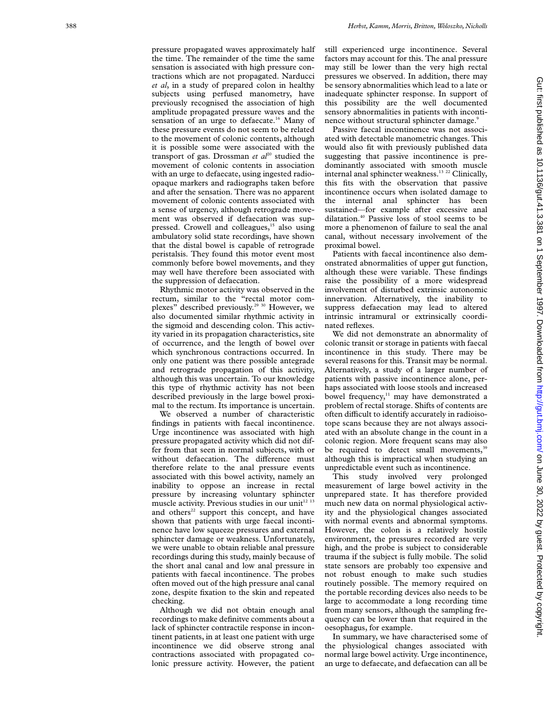pressure propagated waves approximately half the time. The remainder of the time the same sensation is associated with high pressure contractions which are not propagated. Narducci *et al*, in a study of prepared colon in healthy subjects using perfused manometry, have previously recognised the association of high amplitude propagated pressure waves and the sensation of an urge to defaecate.<sup>16</sup> Many of these pressure events do not seem to be related to the movement of colonic contents, although it is possible some were associated with the transport of gas. Drossman *et*  $al^{20}$  studied the movement of colonic contents in association with an urge to defaecate, using ingested radioopaque markers and radiographs taken before and after the sensation. There was no apparent movement of colonic contents associated with a sense of urgency, although retrograde movement was observed if defaecation was suppressed. Crowell and colleagues,<sup>15</sup> also using ambulatory solid state recordings, have shown that the distal bowel is capable of retrograde peristalsis. They found this motor event most commonly before bowel movements, and they may well have therefore been associated with the suppression of defaecation.

Rhythmic motor activity was observed in the rectum, similar to the "rectal motor complexes" described previously.29 30 However, we also documented similar rhythmic activity in the sigmoid and descending colon. This activity varied in its propagation characteristics, site of occurrence, and the length of bowel over which synchronous contractions occurred. In only one patient was there possible antegrade and retrograde propagation of this activity, although this was uncertain. To our knowledge this type of rhythmic activity has not been described previously in the large bowel proximal to the rectum. Its importance is uncertain.

We observed a number of characteristic findings in patients with faecal incontinence. Urge incontinence was associated with high pressure propagated activity which did not differ from that seen in normal subjects, with or without defaecation. The difference must therefore relate to the anal pressure events associated with this bowel activity, namely an inability to oppose an increase in rectal pressure by increasing voluntary sphincter muscle activity. Previous studies in our unit $12$  13 and others $22$  support this concept, and have shown that patients with urge faecal incontinence have low squeeze pressures and external sphincter damage or weakness. Unfortunately, we were unable to obtain reliable anal pressure recordings during this study, mainly because of the short anal canal and low anal pressure in patients with faecal incontinence. The probes often moved out of the high pressure anal canal zone, despite fixation to the skin and repeated checking.

Although we did not obtain enough anal recordings to make definitve comments about a lack of sphincter contractile response in incontinent patients, in at least one patient with urge incontinence we did observe strong anal contractions associated with propagated colonic pressure activity. However, the patient still experienced urge incontinence. Several factors may account for this. The anal pressure may still be lower than the very high rectal pressures we observed. In addition, there may be sensory abnormalities which lead to a late or inadequate sphincter response. In support of this possibility are the well documented sensory abnormalities in patients with incontinence without structural sphincter damage.<sup>9</sup>

Passive faecal incontinence was not associated with detectable manometric changes. This would also fit with previously published data suggesting that passive incontinence is predominantly associated with smooth muscle internal anal sphincter weakness.<sup>13 22</sup> Clinically, this fits with the observation that passive incontinence occurs when isolated damage to the internal anal sphincter has been sustained—for example after excessive anal dilatation.<sup>40</sup> Passive loss of stool seems to be more a phenomenon of failure to seal the anal canal, without necessary involvement of the proximal bowel.

Patients with faecal incontinence also demonstrated abnormalities of upper gut function, although these were variable. These findings raise the possibility of a more widespread involvement of disturbed extrinsic autonomic innervation. Alternatively, the inability to suppress defaecation may lead to altered intrinsic intramural or extrinsically coordinated reflexes.

We did not demonstrate an abnormality of colonic transit or storage in patients with faecal incontinence in this study. There may be several reasons for this. Transit may be normal. Alternatively, a study of a larger number of patients with passive incontinence alone, perhaps associated with loose stools and increased bowel frequency,<sup>11</sup> may have demonstrated a problem of rectal storage. Shifts of contents are often difficult to identify accurately in radioisotope scans because they are not always associated with an absolute change in the count in a colonic region. More frequent scans may also be required to detect small movements,<sup>39</sup> although this is impractical when studying an unpredictable event such as incontinence.

This study involved very prolonged measurement of large bowel activity in the unprepared state. It has therefore provided much new data on normal physiological activity and the physiological changes associated with normal events and abnormal symptoms. However, the colon is a relatively hostile environment, the pressures recorded are very high, and the probe is subject to considerable trauma if the subject is fully mobile. The solid state sensors are probably too expensive and not robust enough to make such studies routinely possible. The memory required on the portable recording devices also needs to be large to accommodate a long recording time from many sensors, although the sampling frequency can be lower than that required in the oesophagus, for example.

In summary, we have characterised some of the physiological changes associated with normal large bowel activity. Urge incontinence, an urge to defaecate, and defaecation can all be